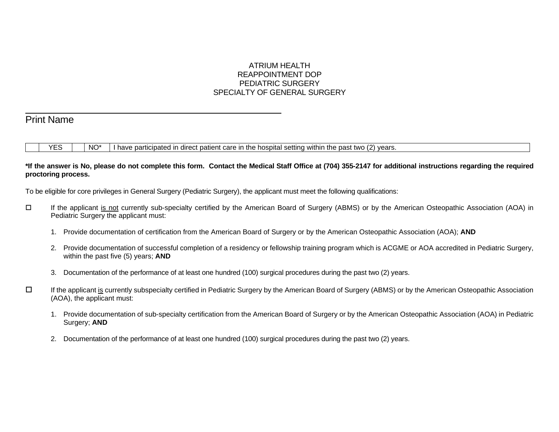# ATRIUM HEALTH REAPPOINTMENT DOP PEDIATRIC SURGERY SPECIALTY OF GENERAL SURGERY

# Print Name

l

YES  $\parallel$  NO<sup>\*</sup> I have participated in direct patient care in the hospital setting within the past two (2) years.

# **\*If the answer is No, please do not complete this form. Contact the Medical Staff Office at (704) 355-2147 for additional instructions regarding the required proctoring process.**

To be eligible for core privileges in General Surgery (Pediatric Surgery), the applicant must meet the following qualifications:

- If the applicant is not currently sub-specialty certified by the American Board of Surgery (ABMS) or by the American Osteopathic Association (AOA) in Pediatric Surgery the applicant must:
	- 1. Provide documentation of certification from the American Board of Surgery or by the American Osteopathic Association (AOA); **AND**
	- 2. Provide documentation of successful completion of a residency or fellowship training program which is ACGME or AOA accredited in Pediatric Surgery, within the past five (5) years; **AND**
	- 3. Documentation of the performance of at least one hundred (100) surgical procedures during the past two (2) years.
- If the applicant is currently subspecialty certified in Pediatric Surgery by the American Board of Surgery (ABMS) or by the American Osteopathic Association (AOA), the applicant must:
	- 1. Provide documentation of sub-specialty certification from the American Board of Surgery or by the American Osteopathic Association (AOA) in Pediatric Surgery; **AND**
	- 2. Documentation of the performance of at least one hundred (100) surgical procedures during the past two (2) years.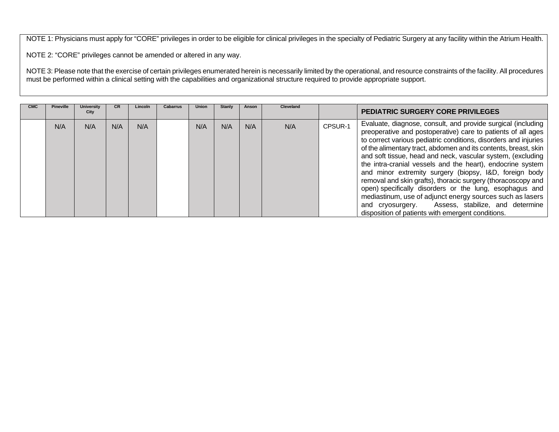NOTE 1: Physicians must apply for "CORE" privileges in order to be eligible for clinical privileges in the specialty of Pediatric Surgery at any facility within the Atrium Health.

NOTE 2: "CORE" privileges cannot be amended or altered in any way.

NOTE 3: Please note that the exercise of certain privileges enumerated herein is necessarily limited by the operational, and resource constraints of the facility. All procedures must be performed within a clinical setting with the capabilities and organizational structure required to provide appropriate support.

| <b>CMC</b> | <b>Pineville</b> | <b>University</b><br>City | CR. | Lincoln | Cabarrus | Union | Stanly | Anson | <b>Cleveland</b> |         | <b>PEDIATRIC SURGERY CORE PRIVILEGES</b>                                                                                                                                                                                                                                                                                                                                                                                                                                                                                                                                                                                                                                                                                                                       |
|------------|------------------|---------------------------|-----|---------|----------|-------|--------|-------|------------------|---------|----------------------------------------------------------------------------------------------------------------------------------------------------------------------------------------------------------------------------------------------------------------------------------------------------------------------------------------------------------------------------------------------------------------------------------------------------------------------------------------------------------------------------------------------------------------------------------------------------------------------------------------------------------------------------------------------------------------------------------------------------------------|
|            | N/A              | N/A                       | N/A | N/A     |          | N/A   | N/A    | N/A   | N/A              | CPSUR-1 | Evaluate, diagnose, consult, and provide surgical (including<br>preoperative and postoperative) care to patients of all ages<br>to correct various pediatric conditions, disorders and injuries<br>of the alimentary tract, abdomen and its contents, breast, skin<br>and soft tissue, head and neck, vascular system, (excluding<br>the intra-cranial vessels and the heart), endocrine system<br>and minor extremity surgery (biopsy, I&D, foreign body<br>removal and skin grafts), thoracic surgery (thoracoscopy and<br>open) specifically disorders or the lung, esophagus and<br>mediastinum, use of adjunct energy sources such as lasers<br>Assess, stabilize, and determine<br>and cryosurgery.<br>disposition of patients with emergent conditions. |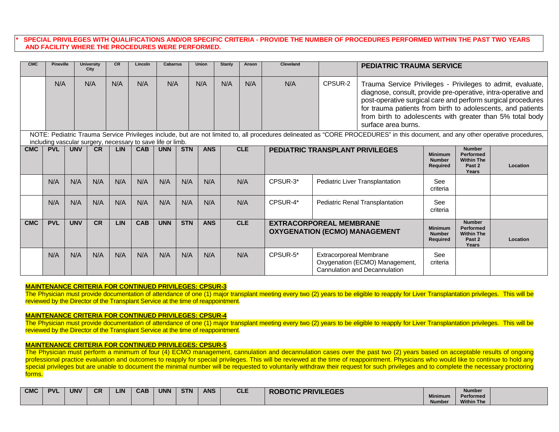# **\* SPECIAL PRIVILEGES WITH QUALIFICATIONS AND/OR SPECIFIC CRITERIA - PROVIDE THE NUMBER OF PROCEDURES PERFORMED WITHIN THE PAST TWO YEARS AND FACILITY WHERE THE PROCEDURES WERE PERFORMED.**

| <b>CMC</b> | <b>Pineville</b> |            | University<br>City | <b>CR</b>  | Lincoln                                                     | <b>Cabarrus</b> |            | <b>Union</b> | Stanly | Anson      | <b>Cleveland</b>                                                       |                                | <b>PEDIATRIC TRAUMA SERVICE</b>                                                                                                                                                                                                                                                                                                                |                                                    |                                                                                      |          |
|------------|------------------|------------|--------------------|------------|-------------------------------------------------------------|-----------------|------------|--------------|--------|------------|------------------------------------------------------------------------|--------------------------------|------------------------------------------------------------------------------------------------------------------------------------------------------------------------------------------------------------------------------------------------------------------------------------------------------------------------------------------------|----------------------------------------------------|--------------------------------------------------------------------------------------|----------|
|            | N/A              |            | N/A                | N/A        | N/A                                                         | N/A             |            | N/A          | N/A    | N/A        | N/A                                                                    | CPSUR-2                        | Trauma Service Privileges - Privileges to admit, evaluate,<br>diagnose, consult, provide pre-operative, intra-operative and<br>post-operative surgical care and perform surgical procedures<br>for trauma patients from birth to adolescents, and patients<br>from birth to adolescents with greater than 5% total body<br>surface area burns. |                                                    |                                                                                      |          |
|            |                  |            |                    |            | including vascular surgery, necessary to save life or limb. |                 |            |              |        |            |                                                                        |                                | NOTE: Pediatric Trauma Service Privileges include, but are not limited to, all procedures delineated as "CORE PROCEDURES" in this document, and any other operative procedures,                                                                                                                                                                |                                                    |                                                                                      |          |
| <b>CMC</b> | <b>PVL</b>       | <b>UNV</b> | CR                 | <b>LIN</b> | <b>CAB</b>                                                  | <b>UNN</b>      | <b>STN</b> | <b>ANS</b>   |        | <b>CLE</b> | PEDIATRIC TRANSPLANT PRIVILEGES                                        |                                |                                                                                                                                                                                                                                                                                                                                                | <b>Minimum</b><br><b>Number</b><br><b>Required</b> | <b>Number</b><br><b>Performed</b><br><b>Within The</b><br>Past 2<br>Years            | Location |
|            | N/A              | N/A        | N/A                | N/A        | N/A                                                         | N/A             | N/A        | N/A          |        | N/A        | CPSUR-3*                                                               |                                | Pediatric Liver Transplantation                                                                                                                                                                                                                                                                                                                | See<br>criteria                                    |                                                                                      |          |
|            | N/A              | N/A        | N/A                | N/A        | N/A                                                         | N/A             | N/A        | N/A          |        | N/A        | CPSUR-4*                                                               |                                | Pediatric Renal Transplantation                                                                                                                                                                                                                                                                                                                | See<br>criteria                                    |                                                                                      |          |
| <b>CMC</b> | <b>PVL</b>       | <b>UNV</b> | <b>CR</b>          | LIN        | <b>CAB</b>                                                  | <b>UNN</b>      | <b>STN</b> | <b>ANS</b>   |        | <b>CLE</b> | <b>EXTRACORPOREAL MEMBRANE</b><br><b>OXYGENATION (ECMO) MANAGEMENT</b> |                                |                                                                                                                                                                                                                                                                                                                                                | <b>Minimum</b><br><b>Number</b><br>Required        | <b>Number</b><br><b>Performed</b><br><b>Within The</b><br>Past <sub>2</sub><br>Years | Location |
|            | N/A              | N/A        | N/A                | N/A        | N/A                                                         | N/A             | N/A        | N/A          |        | N/A        | CPSUR-5*                                                               | <b>Extracorporeal Membrane</b> | Oxygenation (ECMO) Management,<br>Cannulation and Decannulation                                                                                                                                                                                                                                                                                | See<br>criteria                                    |                                                                                      |          |

#### **MAINTENANCE CRITERIA FOR CONTINUED PRIVILEGES: CPSUR-3**

The Physician must provide documentation of attendance of one (1) major transplant meeting every two (2) years to be eligible to reapply for Liver Transplantation privileges. This will be reviewed by the Director of the Transplant Service at the time of reappointment.

#### **MAINTENANCE CRITERIA FOR CONTINUED PRIVILEGES: CPSUR-4**

The Physician must provide documentation of attendance of one (1) major transplant meeting every two (2) years to be eligible to reapply for Liver Transplantation privileges. This will be reviewed by the Director of the Transplant Service at the time of reappointment.

#### **MAINTENANCE CRITERIA FOR CONTINUED PRIVILEGES: CPSUR-5**

The Physician must perform a minimum of four (4) ECMO management, cannulation and decannulation cases over the past two (2) years based on acceptable results of ongoing professional practice evaluation and outcomes to reapply for special privileges. This will be reviewed at the time of reappointment. Physicians who would like to continue to hold any special privileges but are unable to document the minimal number will be requested to voluntarily withdraw their request for such privileges and to complete the necessary proctoring forms.

| <b>CMC</b> | <b>PVI</b> | <b>UNV</b> | $\sim$<br><b>UR</b> | LIN | <b>CAB</b> | <b>UNN</b> | <b>STN</b> | <b>ANS</b> | <b>CLE</b> | <b>ROBOTIC PRIVILEGES</b> |                | <b>Number</b>     |  |
|------------|------------|------------|---------------------|-----|------------|------------|------------|------------|------------|---------------------------|----------------|-------------------|--|
|            |            |            |                     |     |            |            |            |            |            |                           | <b>Minimum</b> | Performed         |  |
|            |            |            |                     |     |            |            |            |            |            |                           | <b>Number</b>  | <b>Within The</b> |  |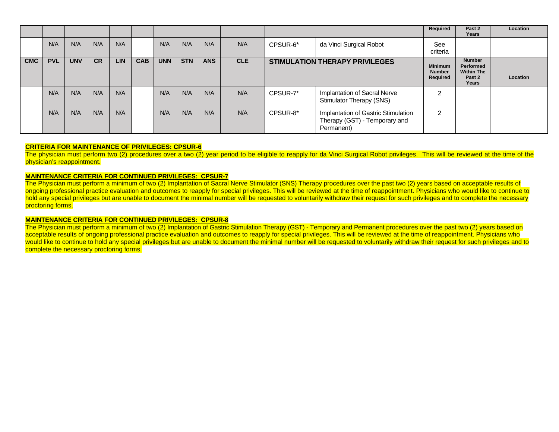|            |            |            |           |     |            |            |            |            |            |                                       |                                                                                    | Required                                    | Past 2<br>Years                                                    | Location |
|------------|------------|------------|-----------|-----|------------|------------|------------|------------|------------|---------------------------------------|------------------------------------------------------------------------------------|---------------------------------------------|--------------------------------------------------------------------|----------|
|            | N/A        | N/A        | N/A       | N/A |            | N/A        | N/A        | N/A        | N/A        | CPSUR-6*                              | da Vinci Surgical Robot                                                            | See<br>criteria                             |                                                                    |          |
| <b>CMC</b> | <b>PVL</b> | <b>UNV</b> | <b>CR</b> | LIN | <b>CAB</b> | <b>UNN</b> | <b>STN</b> | <b>ANS</b> | <b>CLE</b> | <b>STIMULATION THERAPY PRIVILEGES</b> |                                                                                    | <b>Minimum</b><br><b>Number</b><br>Required | <b>Number</b><br>Performed<br><b>Within The</b><br>Past 2<br>Years | Location |
|            | N/A        | N/A        | N/A       | N/A |            | N/A        | N/A        | N/A        | N/A        | CPSUR-7*                              | Implantation of Sacral Nerve<br><b>Stimulator Therapy (SNS)</b>                    | $\Omega$<br>∠                               |                                                                    |          |
|            | N/A        | N/A        | N/A       | N/A |            | N/A        | N/A        | N/A        | N/A        | CPSUR-8*                              | Implantation of Gastric Stimulation<br>Therapy (GST) - Temporary and<br>Permanent) | 2                                           |                                                                    |          |

#### **CRITERIA FOR MAINTENANCE OF PRIVILEGES: CPSUR-6**

The physician must perform two (2) procedures over a two (2) year period to be eligible to reapply for da Vinci Surgical Robot privileges. This will be reviewed at the time of the physician's reappointment.

#### **MAINTENANCE CRITERIA FOR CONTINUED PRIVILEGES: CPSUR-7**

The Physician must perform a minimum of two (2) Implantation of Sacral Nerve Stimulator (SNS) Therapy procedures over the past two (2) years based on acceptable results of ongoing professional practice evaluation and outcomes to reapply for special privileges. This will be reviewed at the time of reappointment. Physicians who would like to continue to hold any special privileges but are unable to document the minimal number will be requested to voluntarily withdraw their request for such privileges and to complete the necessary proctoring forms.

#### **MAINTENANCE CRITERIA FOR CONTINUED PRIVILEGES: CPSUR-8**

The Physician must perform a minimum of two (2) Implantation of Gastric Stimulation Therapy (GST) - Temporary and Permanent procedures over the past two (2) years based on acceptable results of ongoing professional practice evaluation and outcomes to reapply for special privileges. This will be reviewed at the time of reappointment. Physicians who would like to continue to hold any special privileges but are unable to document the minimal number will be requested to voluntarily withdraw their request for such privileges and to complete the necessary proctoring forms.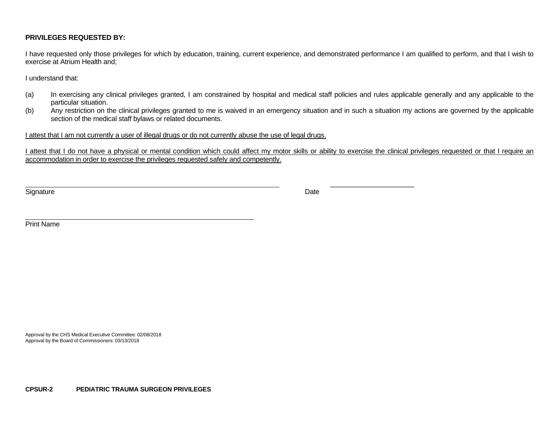# **PRIVILEGES REQUESTED BY:**

I have requested only those privileges for which by education, training, current experience, and demonstrated performance I am qualified to perform, and that I wish to exercise at Atrium Health and;

I understand that:

- (a) In exercising any clinical privileges granted, I am constrained by hospital and medical staff policies and rules applicable generally and any applicable to the particular situation.
- (b) Any restriction on the clinical privileges granted to me is waived in an emergency situation and in such a situation my actions are governed by the applicable section of the medical staff bylaws or related documents.

I attest that I am not currently a user of illegal drugs or do not currently abuse the use of legal drugs.

 $\overline{\phantom{a}}$  , and the contract of the contract of the contract of the contract of the contract of the contract of the contract of the contract of the contract of the contract of the contract of the contract of the contrac

I attest that I do not have a physical or mental condition which could affect my motor skills or ability to exercise the clinical privileges requested or that I require an accommodation in order to exercise the privileges requested safely and competently.

Signature **Date** 

Print Name

Approval by the CHS Medical Executive Committee: 02/08/2018 Approval by the Board of Commissioners: 03/13/2018

**CPSUR-2 PEDIATRIC TRAUMA SURGEON PRIVILEGES**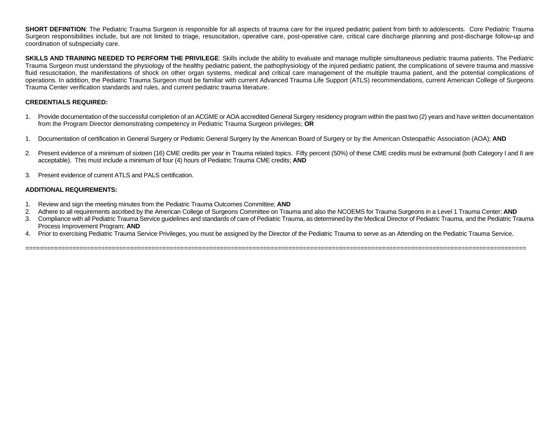**SHORT DEFINITION**: The Pediatric Trauma Surgeon is responsible for all aspects of trauma care for the injured pediatric patient from birth to adolescents. Core Pediatric Trauma Surgeon responsibilities include, but are not limited to triage, resuscitation, operative care, post-operative care, critical care discharge planning and post-discharge follow-up and coordination of subspecialty care.

**SKILLS AND TRAINING NEEDED TO PERFORM THE PRIVILEGE**: Skills include the ability to evaluate and manage multiple simultaneous pediatric trauma patients. The Pediatric Trauma Surgeon must understand the physiology of the healthy pediatric patient, the pathophysiology of the injured pediatric patient, the complications of severe trauma and massive fluid resuscitation, the manifestations of shock on other organ systems, medical and critical care management of the multiple trauma patient, and the potential complications of operations. In addition, the Pediatric Trauma Surgeon must be familiar with current Advanced Trauma Life Support (ATLS) recommendations, current American College of Surgeons Trauma Center verification standards and rules, and current pediatric trauma literature.

# **CREDENTIALS REQUIRED:**

- 1. Provide documentation of the successful completion of an ACGME or AOA accredited General Surgery residency program within the past two (2) years and have written documentation from the Program Director demonstrating competency in Pediatric Trauma Surgeon privileges; **OR**
- 1. Documentation of certification in General Surgery or Pediatric General Surgery by the American Board of Surgery or by the American Osteopathic Association (AOA); **AND**
- 2. Present evidence of a minimum of sixteen (16) CME credits per year in Trauma related topics. Fifty percent (50%) of these CME credits must be extramural (both Category I and II are acceptable). This must include a minimum of four (4) hours of Pediatric Trauma CME credits; **AND**
- 3. Present evidence of current ATLS and PALS certification.

## **ADDITIONAL REQUIREMENTS:**

- 1. Review and sign the meeting minutes from the Pediatric Trauma Outcomes Committee; **AND**
- 2. Adhere to all requirements ascribed by the American College of Surgeons Committee on Trauma and also the NCOEMS for Trauma Surgeons in a Level 1 Trauma Center; **AND**

===========================================================================================================================================

- 3. Compliance with all Pediatric Trauma Service guidelines and standards of care of Pediatric Trauma, as determined by the Medical Director of Pediatric Trauma, and the Pediatric Trauma Process Improvement Program; **AND**
- 4. Prior to exercising Pediatric Trauma Service Privileges, you must be assigned by the Director of the Pediatric Trauma to serve as an Attending on the Pediatric Trauma Service.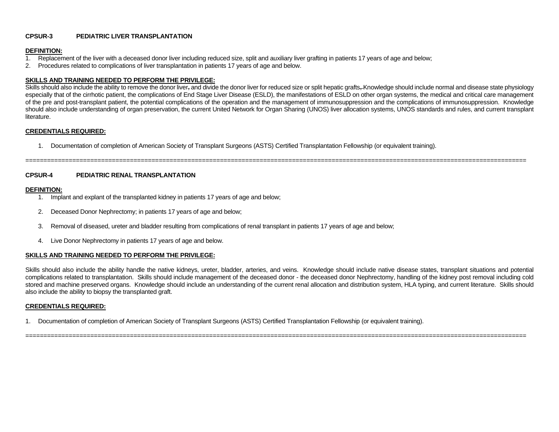# **CPSUR-3 PEDIATRIC LIVER TRANSPLANTATION**

#### **DEFINITION:**

- 1. Replacement of the liver with a deceased donor liver including reduced size, split and auxiliary liver grafting in patients 17 years of age and below;
- 2. Procedures related to complications of liver transplantation in patients 17 years of age and below.

## **SKILLS AND TRAINING NEEDED TO PERFORM THE PRIVILEGE:**

Skills should also include the ability to remove the donor liver, and divide the donor liver for reduced size or split hepatic grafts, Knowledge should include normal and disease state physiology especially that of the cirrhotic patient, the complications of End Stage Liver Disease (ESLD), the manifestations of ESLD on other organ systems, the medical and critical care management of the pre and post-transplant patient, the potential complications of the operation and the management of immunosuppression and the complications of immunosuppression. Knowledge should also include understanding of organ preservation, the current United Network for Organ Sharing (UNOS) liver allocation systems, UNOS standards and rules, and current transplant literature.

===========================================================================================================================================

## **CREDENTIALS REQUIRED:**

1. Documentation of completion of American Society of Transplant Surgeons (ASTS) Certified Transplantation Fellowship (or equivalent training).

# **CPSUR-4 PEDIATRIC RENAL TRANSPLANTATION**

#### **DEFINITION:**

- 1. Implant and explant of the transplanted kidney in patients 17 years of age and below;
- 2. Deceased Donor Nephrectomy; in patients 17 years of age and below;
- 3. Removal of diseased, ureter and bladder resulting from complications of renal transplant in patients 17 years of age and below;
- 4. Live Donor Nephrectomy in patients 17 years of age and below.

## **SKILLS AND TRAINING NEEDED TO PERFORM THE PRIVILEGE:**

Skills should also include the ability handle the native kidneys, ureter, bladder, arteries, and veins. Knowledge should include native disease states, transplant situations and potential complications related to transplantation. Skills should include management of the deceased donor - the deceased donor Nephrectomy, handling of the kidney post removal including cold stored and machine preserved organs. Knowledge should include an understanding of the current renal allocation and distribution system, HLA typing, and current literature. Skills should also include the ability to biopsy the transplanted graft.

===========================================================================================================================================

## **CREDENTIALS REQUIRED:**

1. Documentation of completion of American Society of Transplant Surgeons (ASTS) Certified Transplantation Fellowship (or equivalent training).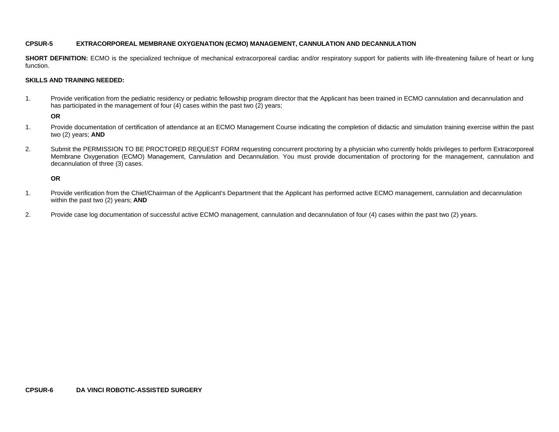# **CPSUR-5 EXTRACORPOREAL MEMBRANE OXYGENATION (ECMO) MANAGEMENT, CANNULATION AND DECANNULATION**

**SHORT DEFINITION:** ECMO is the specialized technique of mechanical extracorporeal cardiac and/or respiratory support for patients with life-threatening failure of heart or lung function.

## **SKILLS AND TRAINING NEEDED:**

1. Provide verification from the pediatric residency or pediatric fellowship program director that the Applicant has been trained in ECMO cannulation and decannulation and has participated in the management of four (4) cases within the past two (2) years;

## **OR**

- 1. Provide documentation of certification of attendance at an ECMO Management Course indicating the completion of didactic and simulation training exercise within the past two (2) years; **AND**
- 2. Submit the PERMISSION TO BE PROCTORED REQUEST FORM requesting concurrent proctoring by a physician who currently holds privileges to perform Extracorporeal Membrane Oxygenation (ECMO) Management, Cannulation and Decannulation. You must provide documentation of proctoring for the management, cannulation and decannulation of three (3) cases.

# **OR**

- 1. Provide verification from the Chief/Chairman of the Applicant's Department that the Applicant has performed active ECMO management, cannulation and decannulation within the past two (2) years; **AND**
- 2. Provide case log documentation of successful active ECMO management, cannulation and decannulation of four (4) cases within the past two (2) years.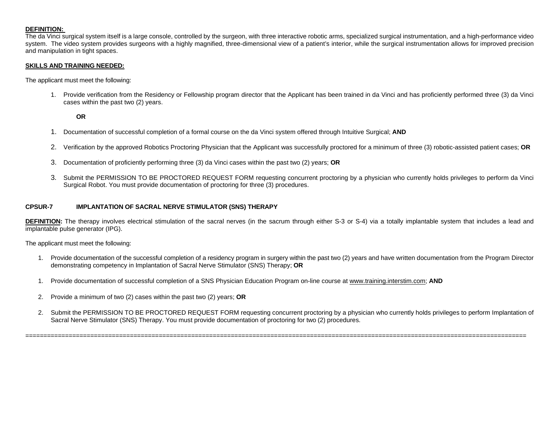## **DEFINITION:**

The da Vinci surgical system itself is a large console, controlled by the surgeon, with three interactive robotic arms, specialized surgical instrumentation, and a high-performance video system. The video system provides surgeons with a highly magnified, three-dimensional view of a patient's interior, while the surgical instrumentation allows for improved precision and manipulation in tight spaces.

#### **SKILLS AND TRAINING NEEDED:**

The applicant must meet the following:

1. Provide verification from the Residency or Fellowship program director that the Applicant has been trained in da Vinci and has proficiently performed three (3) da Vinci cases within the past two (2) years.

**OR**

- 1. Documentation of successful completion of a formal course on the da Vinci system offered through Intuitive Surgical; **AND**
- 2. Verification by the approved Robotics Proctoring Physician that the Applicant was successfully proctored for a minimum of three (3) robotic-assisted patient cases; **OR**
- 3. Documentation of proficiently performing three (3) da Vinci cases within the past two (2) years; **OR**
- 3. Submit the PERMISSION TO BE PROCTORED REQUEST FORM requesting concurrent proctoring by a physician who currently holds privileges to perform da Vinci Surgical Robot. You must provide documentation of proctoring for three (3) procedures.

#### **CPSUR-7 IMPLANTATION OF SACRAL NERVE STIMULATOR (SNS) THERAPY**

**DEFINITION:** The therapy involves electrical stimulation of the sacral nerves (in the sacrum through either S-3 or S-4) via a totally implantable system that includes a lead and implantable pulse generator (IPG).

The applicant must meet the following:

- 1. Provide documentation of the successful completion of a residency program in surgery within the past two (2) years and have written documentation from the Program Director demonstrating competency in Implantation of Sacral Nerve Stimulator (SNS) Therapy; **OR**
- 1. Provide documentation of successful completion of a SNS Physician Education Program on-line course at [www.training.interstim.com;](http://www.training.interstim.com/) **AND**
- 2. Provide a minimum of two (2) cases within the past two (2) years; **OR**
- 2. Submit the PERMISSION TO BE PROCTORED REQUEST FORM requesting concurrent proctoring by a physician who currently holds privileges to perform Implantation of Sacral Nerve Stimulator (SNS) Therapy. You must provide documentation of proctoring for two (2) procedures.

===========================================================================================================================================